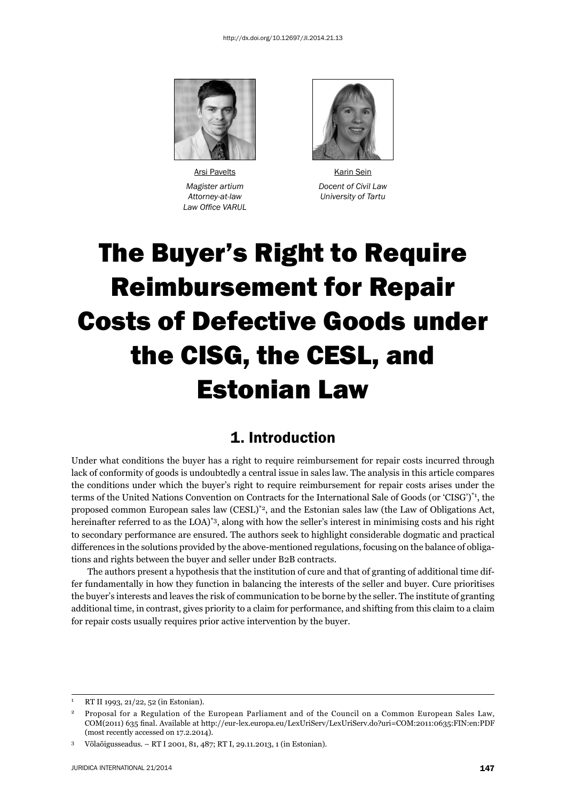

Arsi Pavelts **Karin Sein Law Office VARUL** 



 *Magister artium Docent of Civil Law Attorney-at-law University of Tartu*

# The Buyer's Right to Require Reimbursement for Repair Costs of Defective Goods under the CISG, the CESL, and Estonian Law

#### 1. Introduction

Under what conditions the buyer has a right to require reimbursement for repair costs incurred through lack of conformity of goods is undoubtedly a central issue in sales law. The analysis in this article compares the conditions under which the buyer's right to require reimbursement for repair costs arises under the terms of the United Nations Convention on Contracts for the International Sale of Goods (or 'CISG')\*1, the proposed common European sales law (CESL)\*2, and the Estonian sales law (the Law of Obligations Act, hereinafter referred to as the LOA)<sup>\*3</sup>, along with how the seller's interest in minimising costs and his right to secondary performance are ensured. The authors seek to highlight considerable dogmatic and practical differences in the solutions provided by the above-mentioned regulations, focusing on the balance of obligations and rights between the buyer and seller under B2B contracts.

The authors present a hypothesis that the institution of cure and that of granting of additional time differ fundamentally in how they function in balancing the interests of the seller and buyer. Cure prioritises the buyer's interests and leaves the risk of communication to be borne by the seller. The institute of granting additional time, in contrast, gives priority to a claim for performance, and shifting from this claim to a claim for repair costs usually requires prior active intervention by the buyer.

<sup>1</sup> RT II 1993, 21/22, 52 (in Estonian).

<sup>2</sup> Proposal for a Regulation of the European Parliament and of the Council on a Common European Sales Law, COM(2011) 635 fi nal. Available at http://eur-lex.europa.eu/LexUriServ/LexUriServ.do?uri=COM:2011:0635:FIN:en:PDF (most recently accessed on 17.2.2014).

<sup>3</sup> Võlaõigusseadus. – RT I 2001, 81, 487; RT I, 29.11.2013, 1 (in Estonian).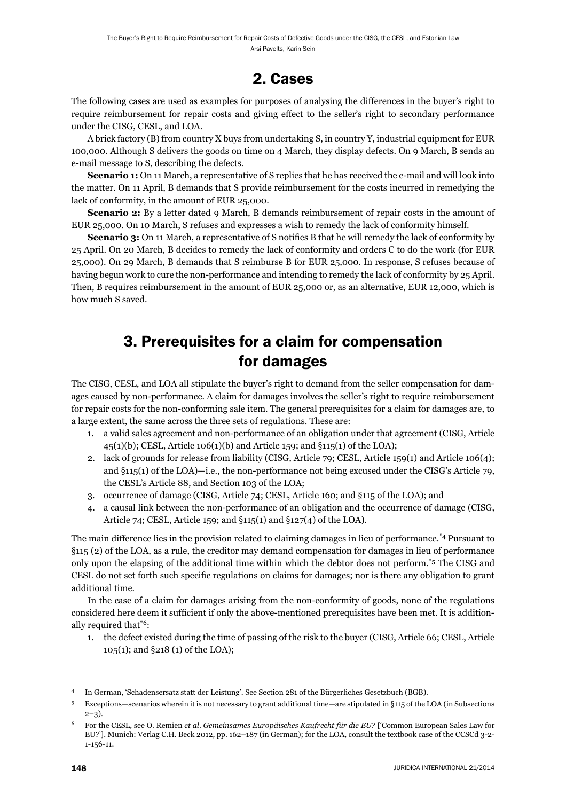#### 2. Cases

The following cases are used as examples for purposes of analysing the differences in the buyer's right to require reimbursement for repair costs and giving effect to the seller's right to secondary performance under the CISG, CESL, and LOA.

A brick factory (B) from country X buys from undertaking S, in country Y, industrial equipment for EUR 100,000. Although S delivers the goods on time on 4 March, they display defects. On 9 March, B sends an e-mail message to S, describing the defects.

**Scenario 1:** On 11 March, a representative of S replies that he has received the e-mail and will look into the matter. On 11 April, B demands that S provide reimbursement for the costs incurred in remedying the lack of conformity, in the amount of EUR 25,000.

**Scenario 2:** By a letter dated 9 March, B demands reimbursement of repair costs in the amount of EUR 25,000. On 10 March, S refuses and expresses a wish to remedy the lack of conformity himself.

**Scenario 3:** On 11 March, a representative of S notifies B that he will remedy the lack of conformity by 25 April. On 20 March, B decides to remedy the lack of conformity and orders C to do the work (for EUR 25,000). On 29 March, B demands that S reimburse B for EUR 25,000. In response, S refuses because of having begun work to cure the non-performance and intending to remedy the lack of conformity by 25 April. Then, B requires reimbursement in the amount of EUR 25,000 or, as an alternative, EUR 12,000, which is how much S saved.

## 3. Prerequisites for a claim for compensation for damages

The CISG, CESL, and LOA all stipulate the buyer's right to demand from the seller compensation for damages caused by non-performance. A claim for damages involves the seller's right to require reimbursement for repair costs for the non-conforming sale item. The general prerequisites for a claim for damages are, to a large extent, the same across the three sets of regulations. These are:

- 1. a valid sales agreement and non-performance of an obligation under that agreement (CISG, Article 45(1)(b); CESL, Article 106(1)(b) and Article 159; and §115(1) of the LOA);
- 2. lack of grounds for release from liability (CISG, Article 79; CESL, Article 159(1) and Article 106(4); and §115(1) of the LOA)—i.e., the non-performance not being excused under the CISG's Article 79, the CESL's Article 88, and Section 103 of the LOA;
- 3. occurrence of damage (CISG, Article 74; CESL, Article 160; and §115 of the LOA); and
- 4. a causal link between the non-performance of an obligation and the occurrence of damage (CISG, Article 74; CESL, Article 159; and §115(1) and §127(4) of the LOA).

The main difference lies in the provision related to claiming damages in lieu of performance.\*4 Pursuant to §115 (2) of the LOA, as a rule, the creditor may demand compensation for damages in lieu of performance only upon the elapsing of the additional time within which the debtor does not perform.\*5 The CISG and CESL do not set forth such specific regulations on claims for damages; nor is there any obligation to grant additional time.

In the case of a claim for damages arising from the non-conformity of goods, none of the regulations considered here deem it sufficient if only the above-mentioned prerequisites have been met. It is additionally required that\*6:

1. the defect existed during the time of passing of the risk to the buyer (CISG, Article 66; CESL, Article 105(1); and §218 (1) of the LOA);

<sup>4</sup> In German, 'Schadensersatz statt der Leistung'. See Section 281 of the Bürgerliches Gesetzbuch (BGB).

<sup>5</sup> Exceptions—scenarios wherein it is not necessary to grant additional time—are stipulated in §115 of the LOA (in Subsections  $2-3)$ .

<sup>6</sup> For the CESL, see O. Remien *et al*. *Gemeinsames Europäisches Kaufrecht für die EU?* ['Common European Sales Law for EU?']. Munich: Verlag C.H. Beck 2012, pp. 162–187 (in German); for the LOA, consult the textbook case of the CCSCd 3-2- 1-156-11.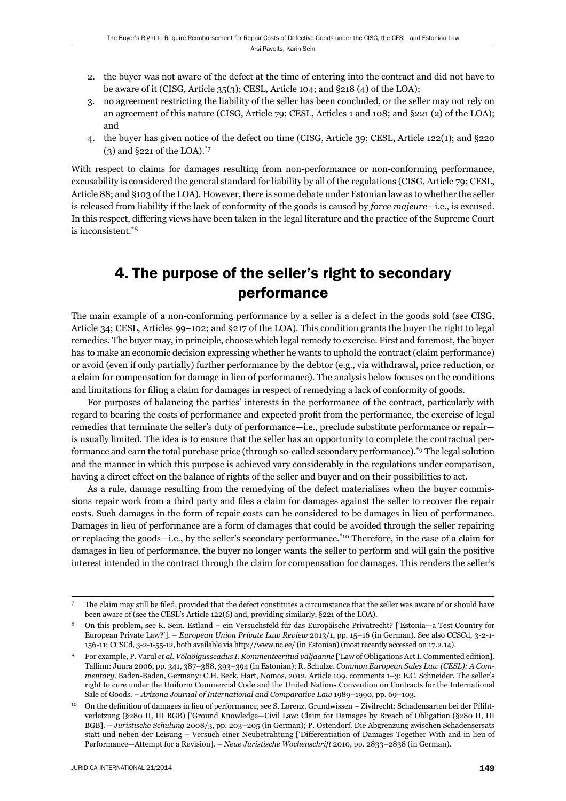- 2. the buyer was not aware of the defect at the time of entering into the contract and did not have to be aware of it (CISG, Article 35(3); CESL, Article 104; and §218 (4) of the LOA);
- 3. no agreement restricting the liability of the seller has been concluded, or the seller may not rely on an agreement of this nature (CISG, Article 79; CESL, Articles 1 and 108; and §221 (2) of the LOA); and
- 4. the buyer has given notice of the defect on time (CISG, Article 39; CESL, Article 122(1); and §220 (3) and §221 of the LOA).\*7

With respect to claims for damages resulting from non-performance or non-conforming performance, excusability is considered the general standard for liability by all of the regulations (CISG, Article 79; CESL, Article 88; and §103 of the LOA). However, there is some debate under Estonian law as to whether the seller is released from liability if the lack of conformity of the goods is caused by *force majeure*—i.e., is excused. In this respect, differing views have been taken in the legal literature and the practice of the Supreme Court is inconsistent.\*8

## 4. The purpose of the seller's right to secondary performance

The main example of a non-conforming performance by a seller is a defect in the goods sold (see CISG, Article 34; CESL, Articles 99–102; and §217 of the LOA). This condition grants the buyer the right to legal remedies. The buyer may, in principle, choose which legal remedy to exercise. First and foremost, the buyer has to make an economic decision expressing whether he wants to uphold the contract (claim performance) or avoid (even if only partially) further performance by the debtor (e.g., via withdrawal, price reduction, or a claim for compensation for damage in lieu of performance). The analysis below focuses on the conditions and limitations for filing a claim for damages in respect of remedying a lack of conformity of goods.

For purposes of balancing the parties' interests in the performance of the contract, particularly with regard to bearing the costs of performance and expected profi t from the performance, the exercise of legal remedies that terminate the seller's duty of performance—i.e., preclude substitute performance or repair is usually limited. The idea is to ensure that the seller has an opportunity to complete the contractual performance and earn the total purchase price (through so-called secondary performance).\*9 The legal solution and the manner in which this purpose is achieved vary considerably in the regulations under comparison, having a direct effect on the balance of rights of the seller and buyer and on their possibilities to act.

As a rule, damage resulting from the remedying of the defect materialises when the buyer commissions repair work from a third party and files a claim for damages against the seller to recover the repair costs. Such damages in the form of repair costs can be considered to be damages in lieu of performance. Damages in lieu of performance are a form of damages that could be avoided through the seller repairing or replacing the goods—i.e., by the seller's secondary performance.\*10 Therefore, in the case of a claim for damages in lieu of performance, the buyer no longer wants the seller to perform and will gain the positive interest intended in the contract through the claim for compensation for damages. This renders the seller's

The claim may still be filed, provided that the defect constitutes a circumstance that the seller was aware of or should have been aware of (see the CESL's Article 122(6) and, providing similarly, §221 of the LOA).

<sup>8</sup> On this problem, see K. Sein. Estland – ein Versuchsfeld für das Europäische Privatrecht? ['Estonia—a Test Country for European Private Law?']. – *European Union Private Law Review* 2013/1, pp. 15–16 (in German). See also CCSCd, 3-2-1- 156-11; CCSCd, 3-2-1-55-12, both available via http://www.nc.ee/ (in Estonian) (most recently accessed on 17.2.14).

<sup>9</sup> For example, P. Varul *et al*. *Võlaõigusseadus I. Kommenteeritud väljaanne* ['Law of Obligations Act I. Commented edition]. Tallinn: Juura 2006, pp. 341, 387–388, 393–394 (in Estonian); R. Schulze. *Common European Sales Law (CESL): A Commentary*. Baden-Baden, Germany: C.H. Beck, Hart, Nomos, 2012, Article 109, comments 1–3; E.C. Schneider. The seller's right to cure under the Uniform Commercial Code and the United Nations Convention on Contracts for the International Sale of Goods. – *Arizona Journal of International and Comparative Law* 1989–1990, pp. 69–103.

<sup>10</sup> On the definition of damages in lieu of performance, see S. Lorenz. Grundwissen – Zivilrecht: Schadensarten bei der Pflihtverletzung (§280 II, III BGB) ['Ground Knowledge—Civil Law: Claim for Damages by Breach of Obligation (§280 II, III BGB]. – *Juristische Schulung* 2008/3, pp. 203–205 (in German); P. Ostendorf. Die Abgrenzung zwischen Schadensersats statt und neben der Leisung – Versuch einer Neubetrahtung ['Differentiation of Damages Together With and in lieu of Performance—Attempt for a Revision]. – *Neue Juristische Wochenschrift* 2010, pp. 2833–2838 (in German).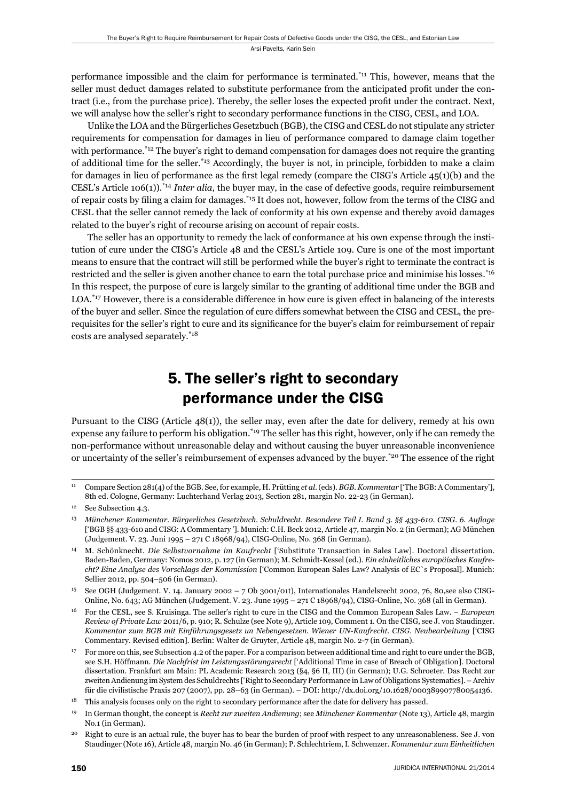performance impossible and the claim for performance is terminated.\*11 This, however, means that the seller must deduct damages related to substitute performance from the anticipated profit under the contract (i.e., from the purchase price). Thereby, the seller loses the expected profit under the contract. Next, we will analyse how the seller's right to secondary performance functions in the CISG, CESL, and LOA.

Unlike the LOA and the Bürgerliches Gesetzbuch (BGB), the CISG and CESL do not stipulate any stricter requirements for compensation for damages in lieu of performance compared to damage claim together with performance.<sup>\*12</sup> The buyer's right to demand compensation for damages does not require the granting of additional time for the seller.\*13 Accordingly, the buyer is not, in principle, forbidden to make a claim for damages in lieu of performance as the first legal remedy (compare the CISG's Article  $45(1)(b)$ ) and the CESL's Article 106(1)).\*14 *Inter alia*, the buyer may, in the case of defective goods, require reimbursement of repair costs by filing a claim for damages.<sup>\*15</sup> It does not, however, follow from the terms of the CISG and CESL that the seller cannot remedy the lack of conformity at his own expense and thereby avoid damages related to the buyer's right of recourse arising on account of repair costs.

The seller has an opportunity to remedy the lack of conformance at his own expense through the institution of cure under the CISG's Article 48 and the CESL's Article 109. Cure is one of the most important means to ensure that the contract will still be performed while the buyer's right to terminate the contract is restricted and the seller is given another chance to earn the total purchase price and minimise his losses.<sup>\*16</sup> In this respect, the purpose of cure is largely similar to the granting of additional time under the BGB and LOA.\*17 However, there is a considerable difference in how cure is given effect in balancing of the interests of the buyer and seller. Since the regulation of cure differs somewhat between the CISG and CESL, the prerequisites for the seller's right to cure and its significance for the buyer's claim for reimbursement of repair costs are analysed separately.\*18

# 5. The seller's right to secondary performance under the CISG

Pursuant to the CISG (Article 48(1)), the seller may, even after the date for delivery, remedy at his own expense any failure to perform his obligation.<sup>\*19</sup> The seller has this right, however, only if he can remedy the non-performance without unreasonable delay and without causing the buyer unreasonable inconvenience or uncertainty of the seller's reimbursement of expenses advanced by the buyer.\*20 The essence of the right

<sup>11</sup> Compare Section 281(4) of the BGB. See, for example, H. Prütting *et al*. (eds). *BGB. Kommentar* ['The BGB: A Commentary'], 8th ed. Cologne, Germany: Luchterhand Verlag 2013, Section 281, margin No. 22-23 (in German).

See Subsection 4.3.

<sup>&</sup>lt;sup>13</sup> Münchener Kommentar. Bürgerliches Gesetzbuch. Schuldrecht. Besondere Teil I. Band 3. §§ 433-610. CISG. 6. Auflage ['BGB §§ 433-610 and CISG: A Commentary ']. Munich: C.H. Beck 2012, Article 47, margin No. 2 (in German); AG München (Judgement. V. 23. Juni 1995 – 271 C 18968/94), CISG-Online, No. 368 (in German).

<sup>14</sup> M. Schönknecht. *Die Selbstvornahme im Kaufrecht* ['Substitute Transaction in Sales Law]. Doctoral dissertation. Baden-Baden, Germany: Nomos 2012, p. 127 (in German); M. Schmidt-Kessel (ed.). *Ein einheitliches europäisches Kaufrecht? Eine Analyse des Vorschlags der Kommission* ['Common European Sales Law? Analysis of EC`s Proposal]. Munich: Sellier 2012, pp. 504–506 (in German).

<sup>15</sup> See OGH (Judgement. V. 14. January 2002 – 7 Ob 3001/01t), Internationales Handelsrecht 2002, 76, 80,see also CISG-Online, No. 643; AG München (Judgement. V. 23. June 1995 – 271 C 18968/94), CISG-Online, No. 368 (all in German).

<sup>16</sup> For the CESL, see S. Kruisinga. The seller's right to cure in the CISG and the Common European Sales Law. – *European Review of Private Law* 2011/6, p. 910; R. Schulze (see Note 9), Article 109, Comment 1. On the CISG, see J. von Staudinger. *Kommentar zum BGB mit Einführungsgesetz un Nebengesetzen. Wiener UN-Kaufrecht. CISG. Neubearbeitung* ['CISG Commentary. Revised edition]. Berlin: Walter de Gruyter, Article 48, margin No. 2-7 (in German).

<sup>17</sup> For more on this, see Subsection 4.2 of the paper. For a comparison between additional time and right to cure under the BGB, see S.H. Höffmann. *Die Nachfrist im Leistungsstörungsrecht* ['Additional Time in case of Breach of Obligation]. Doctoral dissertation. Frankfurt am Main: PL Academic Research 2013 (§4, §6 II, III) (in German); U.G. Schroeter. Das Recht zur zweiten Andienung im System des Schuldrechts ['Right to Secondary Performance in Law of Obligations Systematics]. – Archiv für die civilistische Praxis 207 (2007), pp. 28–63 (in German). – DOI: http://dx.doi.org/10.1628/000389907780054136.

<sup>&</sup>lt;sup>18</sup> This analysis focuses only on the right to secondary performance after the date for delivery has passed.

<sup>19</sup> In German thought, the concept is *Recht zur zweiten Andienung*; see *Münchener Kommentar* (Note 13), Article 48, margin No.1 (in German).

<sup>&</sup>lt;sup>20</sup> Right to cure is an actual rule, the buyer has to bear the burden of proof with respect to any unreasonableness. See J. von Staudinger (Note 16), Article 48, margin No. 46 (in German); P. Schlechtriem, I. Schwenzer. *Kommentar zum Einheitlichen*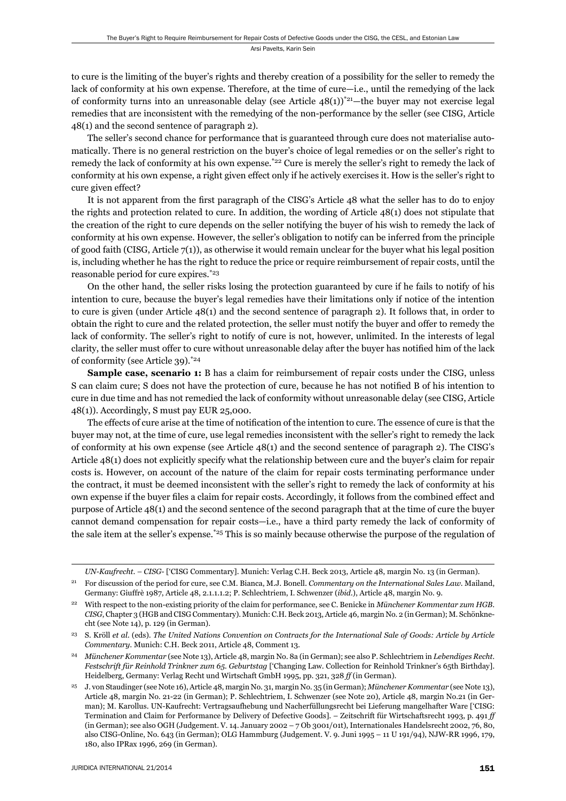to cure is the limiting of the buyer's rights and thereby creation of a possibility for the seller to remedy the lack of conformity at his own expense. Therefore, at the time of cure—i.e., until the remedying of the lack of conformity turns into an unreasonable delay (see Article  $48(1)^{*21}$ —the buyer may not exercise legal remedies that are inconsistent with the remedying of the non-performance by the seller (see CISG, Article 48(1) and the second sentence of paragraph 2).

The seller's second chance for performance that is guaranteed through cure does not materialise automatically. There is no general restriction on the buyer's choice of legal remedies or on the seller's right to remedy the lack of conformity at his own expense.<sup>\*22</sup> Cure is merely the seller's right to remedy the lack of conformity at his own expense, a right given effect only if he actively exercises it. How is the seller's right to cure given effect?

It is not apparent from the first paragraph of the CISG's Article 48 what the seller has to do to enjoy the rights and protection related to cure. In addition, the wording of Article 48(1) does not stipulate that the creation of the right to cure depends on the seller notifying the buyer of his wish to remedy the lack of conformity at his own expense. However, the seller's obligation to notify can be inferred from the principle of good faith (CISG, Article 7(1)), as otherwise it would remain unclear for the buyer what his legal position is, including whether he has the right to reduce the price or require reimbursement of repair costs, until the reasonable period for cure expires.\*23

On the other hand, the seller risks losing the protection guaranteed by cure if he fails to notify of his intention to cure, because the buyer's legal remedies have their limitations only if notice of the intention to cure is given (under Article 48(1) and the second sentence of paragraph 2). It follows that, in order to obtain the right to cure and the related protection, the seller must notify the buyer and offer to remedy the lack of conformity. The seller's right to notify of cure is not, however, unlimited. In the interests of legal clarity, the seller must offer to cure without unreasonable delay after the buyer has notified him of the lack of conformity (see Article 39).\*24

**Sample case, scenario 1:** B has a claim for reimbursement of repair costs under the CISG, unless S can claim cure; S does not have the protection of cure, because he has not notified B of his intention to cure in due time and has not remedied the lack of conformity without unreasonable delay (see CISG, Article 48(1)). Accordingly, S must pay EUR 25,000.

The effects of cure arise at the time of notification of the intention to cure. The essence of cure is that the buyer may not, at the time of cure, use legal remedies inconsistent with the seller's right to remedy the lack of conformity at his own expense (see Article 48(1) and the second sentence of paragraph 2). The CISG's Article 48(1) does not explicitly specify what the relationship between cure and the buyer's claim for repair costs is. However, on account of the nature of the claim for repair costs terminating performance under the contract, it must be deemed inconsistent with the seller's right to remedy the lack of conformity at his own expense if the buyer files a claim for repair costs. Accordingly, it follows from the combined effect and purpose of Article 48(1) and the second sentence of the second paragraph that at the time of cure the buyer cannot demand compensation for repair costs—i.e., have a third party remedy the lack of conformity of the sale item at the seller's expense.\*25 This is so mainly because otherwise the purpose of the regulation of

*UN-Kaufrecht. – CISG-* ['CISG Commentary]. Munich: Verlag C.H. Beck 2013, Article 48, margin No. 13 (in German).

<sup>21</sup> For discussion of the period for cure, see C.M. Bianca, M.J. Bonell. *Commentary on the International Sales Law*. Mailand, Germany: Giuffrè 1987, Article 48, 2.1.1.1.2; P. Schlechtriem, I. Schwenzer (*ibid*.), Article 48, margin No. 9.

<sup>22</sup> With respect to the non-existing priority of the claim for performance, see C. Benicke in *Münchener Kommentar zum HGB. CISG*, Chapter 3 (HGB and CISG Commentary). Munich: C.H. Beck 2013, Article 46, margin No. 2 (in German); M. Schönknecht (see Note 14), p. 129 (in German).

<sup>23</sup> S. Kröll *et al*. (eds). *The United Nations Convention on Contracts for the International Sale of Goods: Article by Article Commentary*. Munich: C.H. Beck 2011, Article 48, Comment 13.

<sup>24</sup> *Münchener Kommentar* (see Note 13), Article 48, margin No. 8a (in German); see also P. Schlechtriem in *Lebendiges Recht. Festschrift für Reinhold Trinkner zum 65. Geburtstag* ['Changing Law. Collection for Reinhold Trinkner's 65th Birthday]. Heidelberg, Germany: Verlag Recht und Wirtschaft GmbH 1995, pp. 321, 328 *ff* (in German).

<sup>25</sup> J. von Staudinger (see Note 16), Article 48, margin No. 31, margin No. 35 (in German); *Münchener Kommentar* (see Note 13), Article 48, margin No. 21-22 (in German); P. Schlechtriem, I. Schwenzer (see Note 20), Article 48, margin No.21 (in German); M. Karollus. UN-Kaufrecht: Vertragsaufhebung und Nacherfüllungsrecht bei Lieferung mangelhafter Ware ['CISG: Termination and Claim for Performance by Delivery of Defective Goods]. – Zeitschrift für Wirtschaftsrecht 1993, p. 491 *ff* (in German); see also OGH (Judgement. V. 14. January 2002 – 7 Ob 3001/01t), Internationales Handelsrecht 2002, 76, 80, also CISG-Online, No. 643 (in German); OLG Hammburg (Judgement. V. 9. Juni 1995 – 11 U 191/94), NJW-RR 1996, 179, 180, also IPRax 1996, 269 (in German).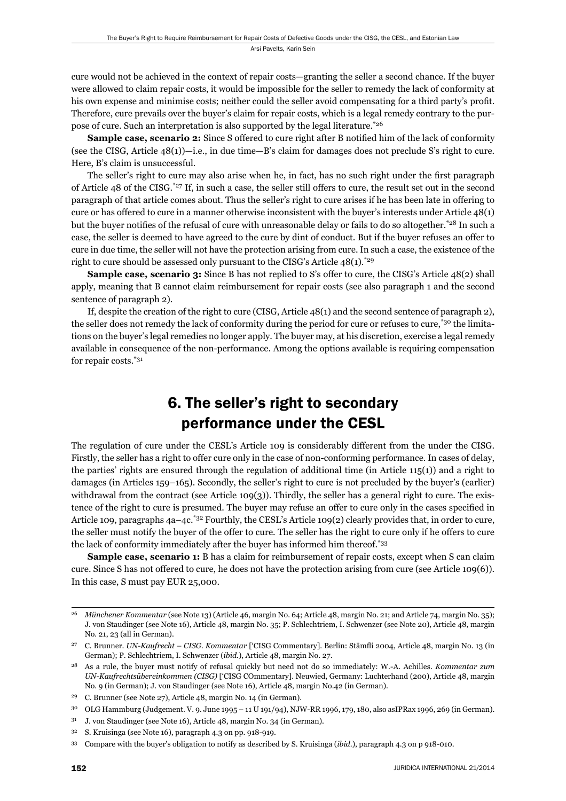cure would not be achieved in the context of repair costs—granting the seller a second chance. If the buyer were allowed to claim repair costs, it would be impossible for the seller to remedy the lack of conformity at his own expense and minimise costs; neither could the seller avoid compensating for a third party's profit. Therefore, cure prevails over the buyer's claim for repair costs, which is a legal remedy contrary to the purpose of cure. Such an interpretation is also supported by the legal literature.\*26

**Sample case, scenario 2:** Since S offered to cure right after B notified him of the lack of conformity (see the CISG, Article 48(1))—i.e., in due time—B's claim for damages does not preclude S's right to cure. Here, B's claim is unsuccessful.

The seller's right to cure may also arise when he, in fact, has no such right under the first paragraph of Article 48 of the CISG.\*27 If, in such a case, the seller still offers to cure, the result set out in the second paragraph of that article comes about. Thus the seller's right to cure arises if he has been late in offering to cure or has offered to cure in a manner otherwise inconsistent with the buyer's interests under Article 48(1) but the buyer notifies of the refusal of cure with unreasonable delay or fails to do so altogether.<sup>\*28</sup> In such a case, the seller is deemed to have agreed to the cure by dint of conduct. But if the buyer refuses an offer to cure in due time, the seller will not have the protection arising from cure. In such a case, the existence of the right to cure should be assessed only pursuant to the CISG's Article  $48(1)$ <sup>\*29</sup>

**Sample case, scenario 3:** Since B has not replied to S's offer to cure, the CISG's Article 48(2) shall apply, meaning that B cannot claim reimbursement for repair costs (see also paragraph 1 and the second sentence of paragraph 2).

If, despite the creation of the right to cure (CISG, Article 48(1) and the second sentence of paragraph 2), the seller does not remedy the lack of conformity during the period for cure or refuses to cure,<sup>\*30</sup> the limitations on the buyer's legal remedies no longer apply. The buyer may, at his discretion, exercise a legal remedy available in consequence of the non-performance. Among the options available is requiring compensation for repair costs.\*31

## 6. The seller's right to secondary performance under the CESL

The regulation of cure under the CESL's Article 109 is considerably different from the under the CISG. Firstly, the seller has a right to offer cure only in the case of non-conforming performance. In cases of delay, the parties' rights are ensured through the regulation of additional time (in Article 115(1)) and a right to damages (in Articles 159–165). Secondly, the seller's right to cure is not precluded by the buyer's (earlier) withdrawal from the contract (see Article 109(3)). Thirdly, the seller has a general right to cure. The existence of the right to cure is presumed. The buyer may refuse an offer to cure only in the cases specified in Article 109, paragraphs 4a–4c.<sup>\*32</sup> Fourthly, the CESL's Article 109(2) clearly provides that, in order to cure, the seller must notify the buyer of the offer to cure. The seller has the right to cure only if he offers to cure the lack of conformity immediately after the buyer has informed him thereof.\*33

**Sample case, scenario 1:** B has a claim for reimbursement of repair costs, except when S can claim cure. Since S has not offered to cure, he does not have the protection arising from cure (see Article 109(6)). In this case, S must pay EUR 25,000.

<sup>26</sup> *Münchener Kommentar* (see Note 13) (Article 46, margin No. 64; Article 48, margin No. 21; and Article 74, margin No. 35); J. von Staudinger (see Note 16), Article 48, margin No. 35; P. Schlechtriem, I. Schwenzer (see Note 20), Article 48, margin No. 21, 23 (all in German).

<sup>&</sup>lt;sup>27</sup> C. Brunner. *UN-Kaufrecht – CISG. Kommentar* ['CISG Commentary]. Berlin: Stämfli 2004, Article 48, margin No. 13 (in German); P. Schlechtriem, I. Schwenzer (*ibid*.), Article 48, margin No. 27.

<sup>28</sup> As a rule, the buyer must notify of refusal quickly but need not do so immediately: W.-A. Achilles. *Kommentar zum UN-Kaufrechtsübereinkommen (CISG)* ['CISG COmmentary]. Neuwied, Germany: Luchterhand (200), Article 48, margin No. 9 (in German); J. von Staudinger (see Note 16), Article 48, margin No.42 (in German).

<sup>29</sup> C. Brunner (see Note 27), Article 48, margin No. 14 (in German).

<sup>30</sup> OLG Hammburg (Judgement. V. 9. June 1995 – 11 U 191/94), NJW-RR 1996, 179, 180, also asIPRax 1996, 269 (in German).

<sup>31</sup> J. von Staudinger (see Note 16), Article 48, margin No. 34 (in German).

<sup>32</sup> S. Kruisinga (see Note 16), paragraph 4.3 on pp. 918-919.

<sup>33</sup> Compare with the buyer's obligation to notify as described by S. Kruisinga (*ibid*.), paragraph 4.3 on p 918-010.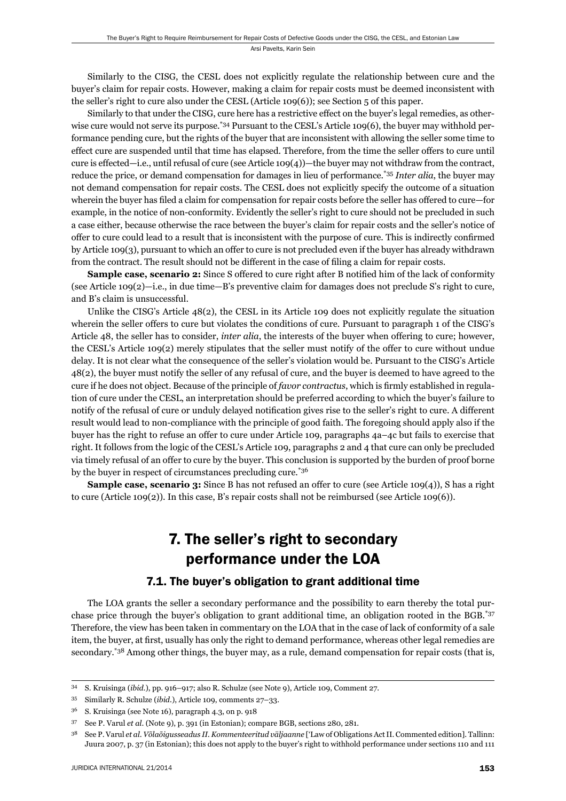Similarly to the CISG, the CESL does not explicitly regulate the relationship between cure and the buyer's claim for repair costs. However, making a claim for repair costs must be deemed inconsistent with the seller's right to cure also under the CESL (Article 109(6)); see Section 5 of this paper.

Similarly to that under the CISG, cure here has a restrictive effect on the buyer's legal remedies, as otherwise cure would not serve its purpose.<sup>\*34</sup> Pursuant to the CESL's Article 109(6), the buyer may withhold performance pending cure, but the rights of the buyer that are inconsistent with allowing the seller some time to effect cure are suspended until that time has elapsed. Therefore, from the time the seller offers to cure until cure is effected—i.e., until refusal of cure (see Article 109(4))—the buyer may not withdraw from the contract, reduce the price, or demand compensation for damages in lieu of performance.\*35 *Inter alia*, the buyer may not demand compensation for repair costs. The CESL does not explicitly specify the outcome of a situation wherein the buyer has filed a claim for compensation for repair costs before the seller has offered to cure—for example, in the notice of non-conformity. Evidently the seller's right to cure should not be precluded in such a case either, because otherwise the race between the buyer's claim for repair costs and the seller's notice of offer to cure could lead to a result that is inconsistent with the purpose of cure. This is indirectly confirmed by Article 109(3), pursuant to which an offer to cure is not precluded even if the buyer has already withdrawn from the contract. The result should not be different in the case of filing a claim for repair costs.

**Sample case, scenario 2:** Since S offered to cure right after B notified him of the lack of conformity (see Article 109(2)—i.e., in due time—B's preventive claim for damages does not preclude S's right to cure, and B's claim is unsuccessful.

Unlike the CISG's Article 48(2), the CESL in its Article 109 does not explicitly regulate the situation wherein the seller offers to cure but violates the conditions of cure. Pursuant to paragraph 1 of the CISG's Article 48, the seller has to consider, *inter alia*, the interests of the buyer when offering to cure; however, the CESL's Article 109(2) merely stipulates that the seller must notify of the offer to cure without undue delay. It is not clear what the consequence of the seller's violation would be. Pursuant to the CISG's Article 48(2), the buyer must notify the seller of any refusal of cure, and the buyer is deemed to have agreed to the cure if he does not object. Because of the principle of *favor contractus*, which is firmly established in regulation of cure under the CESL, an interpretation should be preferred according to which the buyer's failure to notify of the refusal of cure or unduly delayed notification gives rise to the seller's right to cure. A different result would lead to non-compliance with the principle of good faith. The foregoing should apply also if the buyer has the right to refuse an offer to cure under Article 109, paragraphs 4a–4c but fails to exercise that right. It follows from the logic of the CESL's Article 109, paragraphs 2 and 4 that cure can only be precluded via timely refusal of an offer to cure by the buyer. This conclusion is supported by the burden of proof borne by the buyer in respect of circumstances precluding cure.\*36

**Sample case, scenario 3:** Since B has not refused an offer to cure (see Article 109(4)), S has a right to cure (Article 109(2)). In this case, B's repair costs shall not be reimbursed (see Article 109(6)).

## 7. The seller's right to secondary performance under the LOA

#### 7.1. The buyer's obligation to grant additional time

The LOA grants the seller a secondary performance and the possibility to earn thereby the total purchase price through the buyer's obligation to grant additional time, an obligation rooted in the BGB.\*37 Therefore, the view has been taken in commentary on the LOA that in the case of lack of conformity of a sale item, the buyer, at first, usually has only the right to demand performance, whereas other legal remedies are secondary.<sup>\*38</sup> Among other things, the buyer may, as a rule, demand compensation for repair costs (that is,

<sup>34</sup> S. Kruisinga (*ibid*.), pp. 916–917; also R. Schulze (see Note 9), Article 109, Comment 27.

<sup>35</sup> Similarly R. Schulze (*ibid*.), Article 109, comments 27–33.

<sup>36</sup> S. Kruisinga (see Note 16), paragraph 4.3, on p. 918

<sup>37</sup> See P. Varul *et al*. (Note 9), p. 391 (in Estonian); compare BGB, sections 280, 281.

<sup>38</sup> See P. Varul *et al*. *Võlaõigusseadus II. Kommenteeritud väljaanne* ['Law of Obligations Act II. Commented edition]. Tallinn: Juura 2007, p. 37 (in Estonian); this does not apply to the buyer's right to withhold performance under sections 110 and 111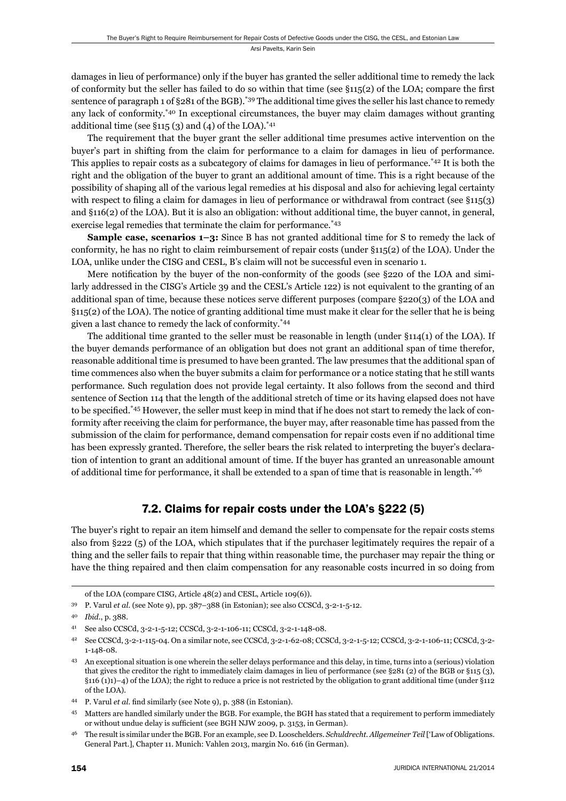damages in lieu of performance) only if the buyer has granted the seller additional time to remedy the lack of conformity but the seller has failed to do so within that time (see  $§115(2)$  of the LOA; compare the first sentence of paragraph 1 of §281 of the BGB).\*39 The additional time gives the seller his last chance to remedy any lack of conformity.\*40 In exceptional circumstances, the buyer may claim damages without granting additional time (see  $\S 115(3)$  and (4) of the LOA).<sup>\*41</sup>

The requirement that the buyer grant the seller additional time presumes active intervention on the buyer's part in shifting from the claim for performance to a claim for damages in lieu of performance. This applies to repair costs as a subcategory of claims for damages in lieu of performance.\*42 It is both the right and the obligation of the buyer to grant an additional amount of time. This is a right because of the possibility of shaping all of the various legal remedies at his disposal and also for achieving legal certainty with respect to filing a claim for damages in lieu of performance or withdrawal from contract (see §115(3) and §116(2) of the LOA). But it is also an obligation: without additional time, the buyer cannot, in general, exercise legal remedies that terminate the claim for performance.\*43

**Sample case, scenarios 1–3:** Since B has not granted additional time for S to remedy the lack of conformity, he has no right to claim reimbursement of repair costs (under §115(2) of the LOA). Under the LOA, unlike under the CISG and CESL, B's claim will not be successful even in scenario 1.

Mere notification by the buyer of the non-conformity of the goods (see §220 of the LOA and similarly addressed in the CISG's Article 39 and the CESL's Article 122) is not equivalent to the granting of an additional span of time, because these notices serve different purposes (compare §220(3) of the LOA and §115(2) of the LOA). The notice of granting additional time must make it clear for the seller that he is being given a last chance to remedy the lack of conformity.\*44

The additional time granted to the seller must be reasonable in length (under §114(1) of the LOA). If the buyer demands performance of an obligation but does not grant an additional span of time therefor, reasonable additional time is presumed to have been granted. The law presumes that the additional span of time commences also when the buyer submits a claim for performance or a notice stating that he still wants performance. Such regulation does not provide legal certainty. It also follows from the second and third sentence of Section 114 that the length of the additional stretch of time or its having elapsed does not have to be specified.<sup>\*45</sup> However, the seller must keep in mind that if he does not start to remedy the lack of conformity after receiving the claim for performance, the buyer may, after reasonable time has passed from the submission of the claim for performance, demand compensation for repair costs even if no additional time has been expressly granted. Therefore, the seller bears the risk related to interpreting the buyer's declaration of intention to grant an additional amount of time. If the buyer has granted an unreasonable amount of additional time for performance, it shall be extended to a span of time that is reasonable in length.\*46

#### 7.2. Claims for repair costs under the LOA's §222 (5)

The buyer's right to repair an item himself and demand the seller to compensate for the repair costs stems also from §222 (5) of the LOA, which stipulates that if the purchaser legitimately requires the repair of a thing and the seller fails to repair that thing within reasonable time, the purchaser may repair the thing or have the thing repaired and then claim compensation for any reasonable costs incurred in so doing from

of the LOA (compare CISG, Article 48(2) and CESL, Article 109(6)).

<sup>39</sup> P. Varul *et al*. (see Note 9), pp. 387–388 (in Estonian); see also CCSCd, 3-2-1-5-12.

<sup>40</sup> *Ibid*., p. 388.

<sup>41</sup> See also CCSCd, 3-2-1-5-12; CCSCd, 3-2-1-106-11; CCSCd, 3-2-1-148-08.

<sup>42</sup> See CCSCd, 3-2-1-115-04. On a similar note, see CCSCd, 3-2-1-62-08; CCSCd, 3-2-1-5-12; CCSCd, 3-2-1-106-11; CCSCd, 3-2- 1-148-08.

<sup>43</sup> An exceptional situation is one wherein the seller delays performance and this delay, in time, turns into a (serious) violation that gives the creditor the right to immediately claim damages in lieu of performance (see §281 (2) of the BGB or §115 (3), §116 (1)1)–4) of the LOA); the right to reduce a price is not restricted by the obligation to grant additional time (under §112 of the LOA).

<sup>44</sup> P. Varul *et al.* find similarly (see Note 9), p. 388 (in Estonian).

<sup>45</sup> Matters are handled similarly under the BGB. For example, the BGH has stated that a requirement to perform immediately or without undue delay is sufficient (see BGH NJW 2009, p. 3153, in German).

<sup>46</sup> The result is similar under the BGB. For an example, see D. Looschelders. *Schuldrecht. Allgemeiner Teil* ['Law of Obligations. General Part.], Chapter 11. Munich: Vahlen 2013, margin No. 616 (in German).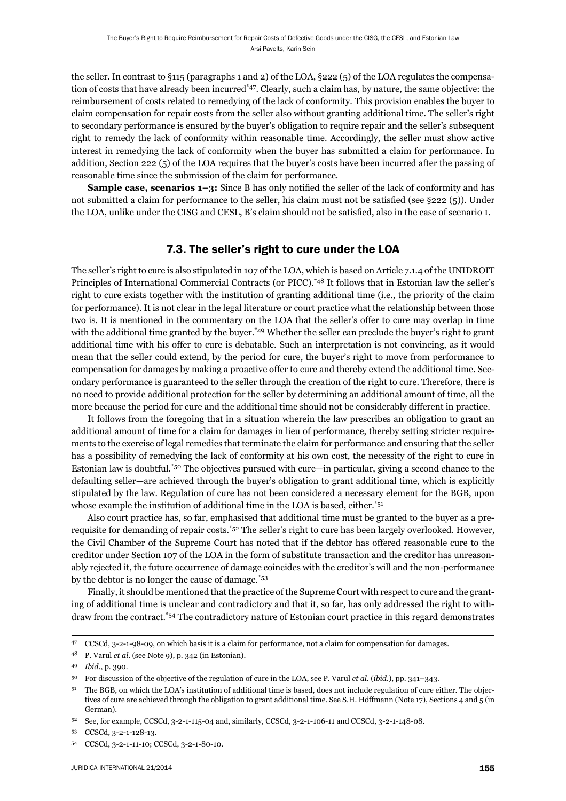the seller. In contrast to §115 (paragraphs 1 and 2) of the LOA, §222 (5) of the LOA regulates the compensation of costs that have already been incurred\*47. Clearly, such a claim has, by nature, the same objective: the reimbursement of costs related to remedying of the lack of conformity. This provision enables the buyer to claim compensation for repair costs from the seller also without granting additional time. The seller's right to secondary performance is ensured by the buyer's obligation to require repair and the seller's subsequent right to remedy the lack of conformity within reasonable time. Accordingly, the seller must show active interest in remedying the lack of conformity when the buyer has submitted a claim for performance. In addition, Section 222 (5) of the LOA requires that the buyer's costs have been incurred after the passing of reasonable time since the submission of the claim for performance.

**Sample case, scenarios 1–3:** Since B has only notified the seller of the lack of conformity and has not submitted a claim for performance to the seller, his claim must not be satisfied (see  $\S 222$  (5)). Under the LOA, unlike under the CISG and CESL, B's claim should not be satisfied, also in the case of scenario 1.

#### 7.3. The seller's right to cure under the LOA

The seller's right to cure is also stipulated in 107 of the LOA, which is based on Article 7.1.4 of the UNIDROIT Principles of International Commercial Contracts (or PICC).\*48 It follows that in Estonian law the seller's right to cure exists together with the institution of granting additional time (i.e., the priority of the claim for performance). It is not clear in the legal literature or court practice what the relationship between those two is. It is mentioned in the commentary on the LOA that the seller's offer to cure may overlap in time with the additional time granted by the buyer.<sup>\*49</sup> Whether the seller can preclude the buyer's right to grant additional time with his offer to cure is debatable. Such an interpretation is not convincing, as it would mean that the seller could extend, by the period for cure, the buyer's right to move from performance to compensation for damages by making a proactive offer to cure and thereby extend the additional time. Secondary performance is guaranteed to the seller through the creation of the right to cure. Therefore, there is no need to provide additional protection for the seller by determining an additional amount of time, all the more because the period for cure and the additional time should not be considerably different in practice.

It follows from the foregoing that in a situation wherein the law prescribes an obligation to grant an additional amount of time for a claim for damages in lieu of performance, thereby setting stricter requirements to the exercise of legal remedies that terminate the claim for performance and ensuring that the seller has a possibility of remedying the lack of conformity at his own cost, the necessity of the right to cure in Estonian law is doubtful.\*50 The objectives pursued with cure—in particular, giving a second chance to the defaulting seller—are achieved through the buyer's obligation to grant additional time, which is explicitly stipulated by the law. Regulation of cure has not been considered a necessary element for the BGB, upon whose example the institution of additional time in the LOA is based, either.<sup>\*51</sup>

Also court practice has, so far, emphasised that additional time must be granted to the buyer as a prerequisite for demanding of repair costs.\*52 The seller's right to cure has been largely overlooked. However, the Civil Chamber of the Supreme Court has noted that if the debtor has offered reasonable cure to the creditor under Section 107 of the LOA in the form of substitute transaction and the creditor has unreasonably rejected it, the future occurrence of damage coincides with the creditor's will and the non-performance by the debtor is no longer the cause of damage.\*53

Finally, it should be mentioned that the practice of the Supreme Court with respect to cure and the granting of additional time is unclear and contradictory and that it, so far, has only addressed the right to withdraw from the contract.\*54 The contradictory nature of Estonian court practice in this regard demonstrates

<sup>47</sup> CCSCd, 3-2-1-98-09, on which basis it is a claim for performance, not a claim for compensation for damages.

<sup>48</sup> P. Varul *et al*. (see Note 9), p. 342 (in Estonian).

<sup>49</sup> *Ibid*., p. 390.

<sup>50</sup> For discussion of the objective of the regulation of cure in the LOA, see P. Varul *et al*. (*ibid*.), pp. 341–343.

<sup>&</sup>lt;sup>51</sup> The BGB, on which the LOA's institution of additional time is based, does not include regulation of cure either. The objectives of cure are achieved through the obligation to grant additional time. See S.H. Höffmann (Note 17), Sections 4 and 5 (in German).

<sup>52</sup> See, for example, CCSCd, 3-2-1-115-04 and, similarly, CCSCd, 3-2-1-106-11 and CCSCd, 3-2-1-148-08.

<sup>53</sup> CCSCd, 3-2-1-128-13.

<sup>54</sup> CCSCd, 3-2-1-11-10; CCSCd, 3-2-1-80-10.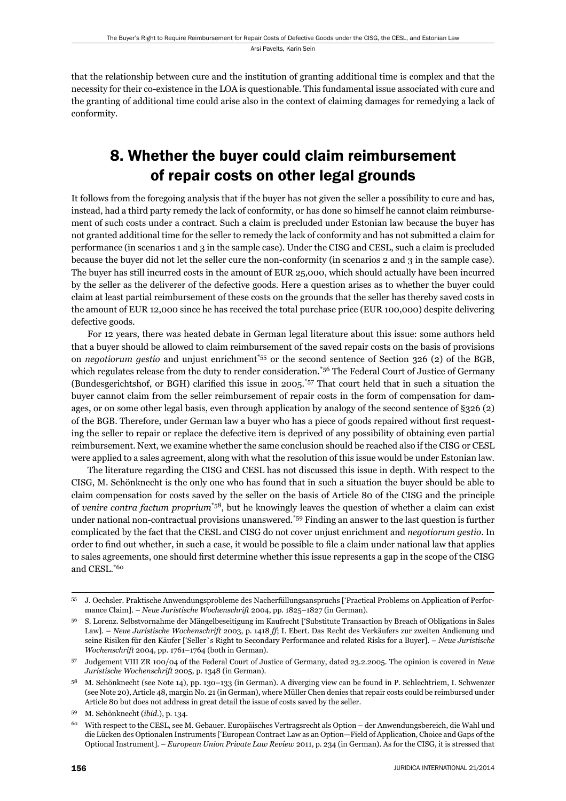that the relationship between cure and the institution of granting additional time is complex and that the necessity for their co-existence in the LOA is questionable. This fundamental issue associated with cure and the granting of additional time could arise also in the context of claiming damages for remedying a lack of conformity.

# 8. Whether the buyer could claim reimbursement of repair costs on other legal grounds

It follows from the foregoing analysis that if the buyer has not given the seller a possibility to cure and has, instead, had a third party remedy the lack of conformity, or has done so himself he cannot claim reimbursement of such costs under a contract. Such a claim is precluded under Estonian law because the buyer has not granted additional time for the seller to remedy the lack of conformity and has not submitted a claim for performance (in scenarios 1 and 3 in the sample case). Under the CISG and CESL, such a claim is precluded because the buyer did not let the seller cure the non-conformity (in scenarios 2 and 3 in the sample case). The buyer has still incurred costs in the amount of EUR 25,000, which should actually have been incurred by the seller as the deliverer of the defective goods. Here a question arises as to whether the buyer could claim at least partial reimbursement of these costs on the grounds that the seller has thereby saved costs in the amount of EUR 12,000 since he has received the total purchase price (EUR 100,000) despite delivering defective goods.

For 12 years, there was heated debate in German legal literature about this issue: some authors held that a buyer should be allowed to claim reimbursement of the saved repair costs on the basis of provisions on *negotiorum gestio* and unjust enrichment\*55 or the second sentence of Section 326 (2) of the BGB, which regulates release from the duty to render consideration.<sup>\*56</sup> The Federal Court of Justice of Germany (Bundesgerichtshof, or BGH) clarified this issue in  $2005.^{57}$  That court held that in such a situation the buyer cannot claim from the seller reimbursement of repair costs in the form of compensation for damages, or on some other legal basis, even through application by analogy of the second sentence of §326 (2) of the BGB. Therefore, under German law a buyer who has a piece of goods repaired without first requesting the seller to repair or replace the defective item is deprived of any possibility of obtaining even partial reimbursement. Next, we examine whether the same conclusion should be reached also if the CISG or CESL were applied to a sales agreement, along with what the resolution of this issue would be under Estonian law.

The literature regarding the CISG and CESL has not discussed this issue in depth. With respect to the CISG, M. Schönknecht is the only one who has found that in such a situation the buyer should be able to claim compensation for costs saved by the seller on the basis of Article 80 of the CISG and the principle of *venire contra factum proprium*\*58, but he knowingly leaves the question of whether a claim can exist under national non-contractual provisions unanswered.\*59 Finding an answer to the last question is further complicated by the fact that the CESL and CISG do not cover unjust enrichment and *negotiorum gestio*. In order to find out whether, in such a case, it would be possible to file a claim under national law that applies to sales agreements, one should first determine whether this issue represents a gap in the scope of the CISG and CESL.\*60

<sup>55</sup> J. Oechsler. Praktische Anwendungsprobleme des Nacherfüllungsanspruchs ['Practical Problems on Application of Performance Claim]. – *Neue Juristische Wochenschrift* 2004, pp. 1825–1827 (in German).

<sup>56</sup> S. Lorenz. Selbstvornahme der Mängelbeseitigung im Kaufrecht ['Substitute Transaction by Breach of Obligations in Sales Law]. – *Neue Juristische Wochenschrift* 2003, p. 1418 *ff*; I. Ebert. Das Recht des Verkäufers zur zweiten Andienung und seine Risiken für den Käufer ['Seller`s Right to Secondary Performance and related Risks for a Buyer]. – *Neue Juristische Wochenschrift* 2004, pp. 1761–1764 (both in German).

<sup>57</sup> Judgement VIII ZR 100/04 of the Federal Court of Justice of Germany, dated 23.2.2005. The opinion is covered in *Neue Juristische Wochenschrift* 2005, p. 1348 (in German).

<sup>58</sup> M. Schönknecht (see Note 14), pp. 130–133 (in German). A diverging view can be found in P. Schlechtriem, I. Schwenzer (see Note 20), Article 48, margin No. 21 (in German), where Müller Chen denies that repair costs could be reimbursed under Article 80 but does not address in great detail the issue of costs saved by the seller.

<sup>59</sup> M. Schönknecht (*ibid*.), p. 134.

<sup>60</sup> With respect to the CESL, see M. Gebauer. Europäisches Vertragsrecht als Option – der Anwendungsbereich, die Wahl und die Lücken des Optionalen Instruments ['European Contract Law as an Option—Field of Application, Choice and Gaps of the Optional Instrument]. – *European Union Private Law Review* 2011, p. 234 (in German). As for the CISG, it is stressed that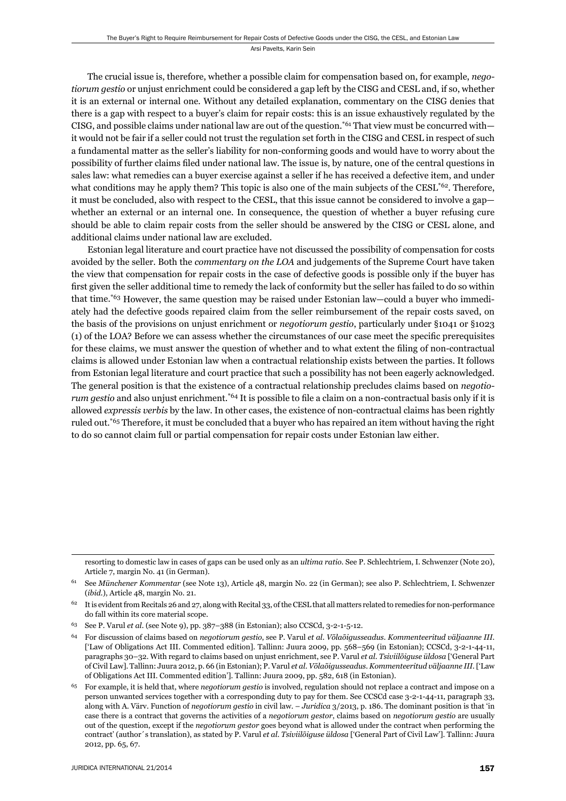The crucial issue is, therefore, whether a possible claim for compensation based on, for example, *negotiorum gestio* or unjust enrichment could be considered a gap left by the CISG and CESL and, if so, whether it is an external or internal one. Without any detailed explanation, commentary on the CISG denies that there is a gap with respect to a buyer's claim for repair costs: this is an issue exhaustively regulated by the CISG, and possible claims under national law are out of the question.<sup>\*61</sup> That view must be concurred with it would not be fair if a seller could not trust the regulation set forth in the CISG and CESL in respect of such a fundamental matter as the seller's liability for non-conforming goods and would have to worry about the possibility of further claims fi led under national law. The issue is, by nature, one of the central questions in sales law: what remedies can a buyer exercise against a seller if he has received a defective item, and under what conditions may he apply them? This topic is also one of the main subjects of the CESL<sup>\*62</sup>. Therefore, it must be concluded, also with respect to the CESL, that this issue cannot be considered to involve a gap whether an external or an internal one. In consequence, the question of whether a buyer refusing cure should be able to claim repair costs from the seller should be answered by the CISG or CESL alone, and additional claims under national law are excluded.

Estonian legal literature and court practice have not discussed the possibility of compensation for costs avoided by the seller. Both the *commentary on the LOA* and judgements of the Supreme Court have taken the view that compensation for repair costs in the case of defective goods is possible only if the buyer has first given the seller additional time to remedy the lack of conformity but the seller has failed to do so within that time.\*63 However, the same question may be raised under Estonian law—could a buyer who immediately had the defective goods repaired claim from the seller reimbursement of the repair costs saved, on the basis of the provisions on unjust enrichment or *negotiorum gestio*, particularly under §1041 or §1023 (1) of the LOA? Before we can assess whether the circumstances of our case meet the specifi c prerequisites for these claims, we must answer the question of whether and to what extent the filing of non-contractual claims is allowed under Estonian law when a contractual relationship exists between the parties. It follows from Estonian legal literature and court practice that such a possibility has not been eagerly acknowledged. The general position is that the existence of a contractual relationship precludes claims based on *negotiorum gestio* and also unjust enrichment.<sup>\*64</sup> It is possible to file a claim on a non-contractual basis only if it is allowed *expressis verbis* by the law. In other cases, the existence of non-contractual claims has been rightly ruled out.<sup>\*65</sup> Therefore, it must be concluded that a buyer who has repaired an item without having the right to do so cannot claim full or partial compensation for repair costs under Estonian law either.

resorting to domestic law in cases of gaps can be used only as an *ultima ratio*. See P. Schlechtriem, I. Schwenzer (Note 20), Article 7, margin No. 41 (in German).

<sup>61</sup> See *Münchener Kommentar* (see Note 13), Article 48, margin No. 22 (in German); see also P. Schlechtriem, I. Schwenzer (*ibid*.), Article 48, margin No. 21.

<sup>62</sup> It is evident from Recitals 26 and 27, along with Recital 33, of the CESL that all matters related to remedies for non-performance do fall within its core material scope.

<sup>63</sup> See P. Varul *et al*. (see Note 9), pp. 387–388 (in Estonian); also CCSCd, 3-2-1-5-12.

<sup>64</sup> For discussion of claims based on *negotiorum gestio*, see P. Varul *et al*. *Võlaõigusseadus. Kommenteeritud väljaanne III.*  ['Law of Obligations Act III. Commented edition]. Tallinn: Juura 2009, pp. 568–569 (in Estonian); CCSCd, 3-2-1-44-11, paragraphs 30–32. With regard to claims based on unjust enrichment, see P. Varul *et al*. *Tsiviilõiguse üldosa* ['General Part of Civil Law]. Tallinn: Juura 2012, p. 66 (in Estonian); P. Varul *et al*. *Võlaõigusseadus. Kommenteeritud väljaanne III.* ['Law of Obligations Act III. Commented edition']. Tallinn: Juura 2009, pp. 582, 618 (in Estonian).

<sup>65</sup> For example, it is held that, where *negotiorum gestio* is involved, regulation should not replace a contract and impose on a person unwanted services together with a corresponding duty to pay for them. See CCSCd case 3-2-1-44-11, paragraph 33, along with A. Värv. Function of *negotiorum gestio* in civil law. – *Juridica* 3/2013, p. 186. The dominant position is that 'in case there is a contract that governs the activities of a *negotiorum gestor*, claims based on *negotiorum gestio* are usually out of the question, except if the *negotiorum gestor* goes beyond what is allowed under the contract when performing the contract' (author´s translation), as stated by P. Varul *et al*. *Tsiviilõiguse üldosa* ['General Part of Civil Law']. Tallinn: Juura 2012, pp. 65, 67.